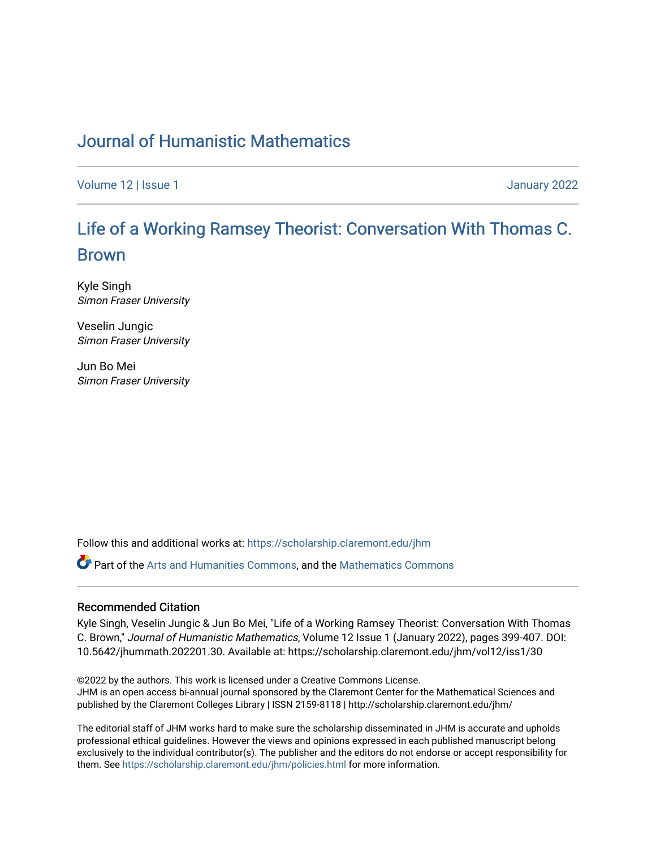## [Journal of Humanistic Mathematics](https://scholarship.claremont.edu/jhm)

[Volume 12](https://scholarship.claremont.edu/jhm/vol12) | Issue 1 January 2022

# [Life of a Working Ramsey Theorist: Conversation With Thomas C.](https://scholarship.claremont.edu/jhm/vol12/iss1/30) [Brown](https://scholarship.claremont.edu/jhm/vol12/iss1/30)

Kyle Singh Simon Fraser University

Veselin Jungic Simon Fraser University

Jun Bo Mei Simon Fraser University

Follow this and additional works at: [https://scholarship.claremont.edu/jhm](https://scholarship.claremont.edu/jhm?utm_source=scholarship.claremont.edu%2Fjhm%2Fvol12%2Fiss1%2F30&utm_medium=PDF&utm_campaign=PDFCoverPages)

Part of the [Arts and Humanities Commons,](http://network.bepress.com/hgg/discipline/438?utm_source=scholarship.claremont.edu%2Fjhm%2Fvol12%2Fiss1%2F30&utm_medium=PDF&utm_campaign=PDFCoverPages) and the [Mathematics Commons](http://network.bepress.com/hgg/discipline/174?utm_source=scholarship.claremont.edu%2Fjhm%2Fvol12%2Fiss1%2F30&utm_medium=PDF&utm_campaign=PDFCoverPages) 

### Recommended Citation

Kyle Singh, Veselin Jungic & Jun Bo Mei, "Life of a Working Ramsey Theorist: Conversation With Thomas C. Brown," Journal of Humanistic Mathematics, Volume 12 Issue 1 (January 2022), pages 399-407. DOI: 10.5642/jhummath.202201.30. Available at: https://scholarship.claremont.edu/jhm/vol12/iss1/30

©2022 by the authors. This work is licensed under a Creative Commons License. JHM is an open access bi-annual journal sponsored by the Claremont Center for the Mathematical Sciences and published by the Claremont Colleges Library | ISSN 2159-8118 | http://scholarship.claremont.edu/jhm/

The editorial staff of JHM works hard to make sure the scholarship disseminated in JHM is accurate and upholds professional ethical guidelines. However the views and opinions expressed in each published manuscript belong exclusively to the individual contributor(s). The publisher and the editors do not endorse or accept responsibility for them. See<https://scholarship.claremont.edu/jhm/policies.html> for more information.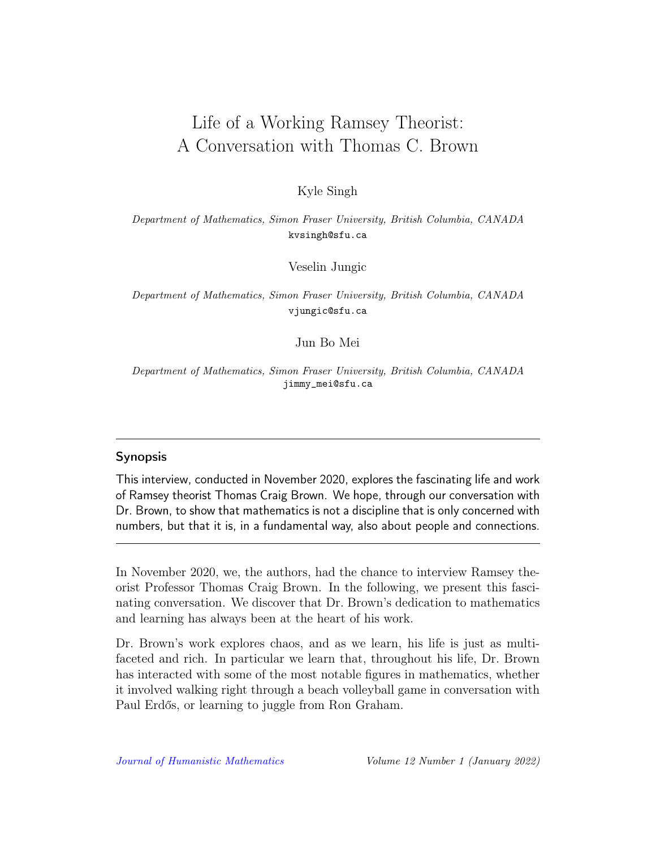## Life of a Working Ramsey Theorist: A Conversation with Thomas C. Brown

Kyle Singh

Department of Mathematics, Simon Fraser University, British Columbia, CANADA kvsingh@sfu.ca

Veselin Jungic

Department of Mathematics, Simon Fraser University, British Columbia, CANADA vjungic@sfu.ca

Jun Bo Mei

Department of Mathematics, Simon Fraser University, British Columbia, CANADA jimmy\_mei@sfu.ca

## Synopsis

This interview, conducted in November 2020, explores the fascinating life and work of Ramsey theorist Thomas Craig Brown. We hope, through our conversation with Dr. Brown, to show that mathematics is not a discipline that is only concerned with numbers, but that it is, in a fundamental way, also about people and connections.

In November 2020, we, the authors, had the chance to interview Ramsey theorist Professor Thomas Craig Brown. In the following, we present this fascinating conversation. We discover that Dr. Brown's dedication to mathematics and learning has always been at the heart of his work.

Dr. Brown's work explores chaos, and as we learn, his life is just as multifaceted and rich. In particular we learn that, throughout his life, Dr. Brown has interacted with some of the most notable figures in mathematics, whether it involved walking right through a beach volleyball game in conversation with Paul Erdős, or learning to juggle from Ron Graham.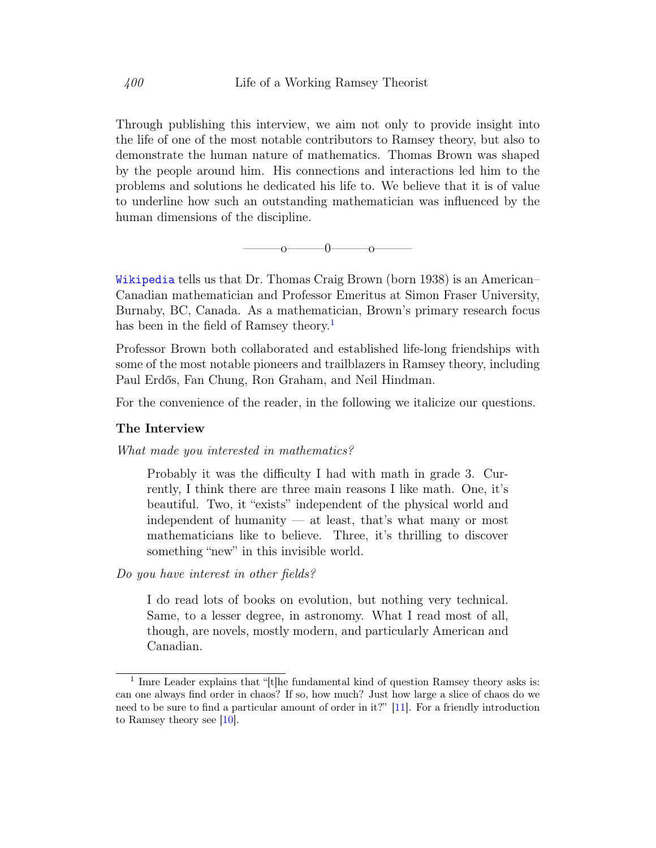Through publishing this interview, we aim not only to provide insight into the life of one of the most notable contributors to Ramsey theory, but also to demonstrate the human nature of mathematics. Thomas Brown was shaped by the people around him. His connections and interactions led him to the problems and solutions he dedicated his life to. We believe that it is of value to underline how such an outstanding mathematician was influenced by the human dimensions of the discipline.

 $\sim$  0 0

[Wikipedia](https://en.wikipedia.org/wiki/Tom_Brown_(mathematician)) tells us that Dr. Thomas Craig Brown (born 1938) is an American– Canadian mathematician and Professor Emeritus at Simon Fraser University, Burnaby, BC, Canada. As a mathematician, Brown's primary research focus has been in the field of Ramsey theory.<sup>[1](#page-2-0)</sup>

Professor Brown both collaborated and established life-long friendships with some of the most notable pioneers and trailblazers in Ramsey theory, including Paul Erdős, Fan Chung, Ron Graham, and Neil Hindman.

For the convenience of the reader, in the following we italicize our questions.

#### The Interview

What made you interested in mathematics?

Probably it was the difficulty I had with math in grade 3. Currently, I think there are three main reasons I like math. One, it's beautiful. Two, it "exists" independent of the physical world and independent of humanity  $-$  at least, that's what many or most mathematicians like to believe. Three, it's thrilling to discover something "new" in this invisible world.

Do you have interest in other fields?

I do read lots of books on evolution, but nothing very technical. Same, to a lesser degree, in astronomy. What I read most of all, though, are novels, mostly modern, and particularly American and Canadian.

<span id="page-2-0"></span><sup>&</sup>lt;sup>1</sup> Imre Leader explains that "[t]he fundamental kind of question Ramsey theory asks is: can one always find order in chaos? If so, how much? Just how large a slice of chaos do we need to be sure to find a particular amount of order in it?" [\[11\]](#page-9-0). For a friendly introduction to Ramsey theory see [\[10\]](#page-9-1).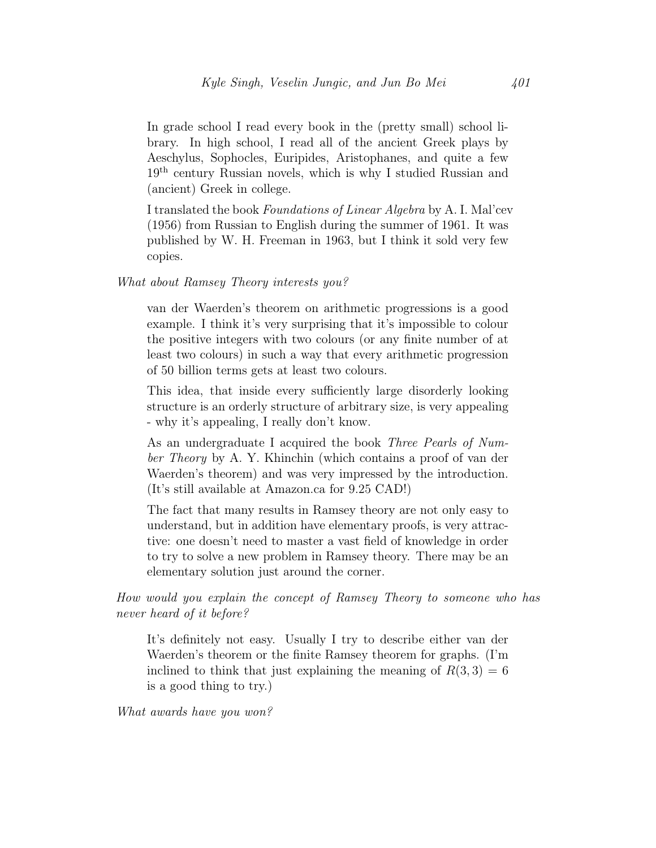In grade school I read every book in the (pretty small) school library. In high school, I read all of the ancient Greek plays by Aeschylus, Sophocles, Euripides, Aristophanes, and quite a few 19th century Russian novels, which is why I studied Russian and (ancient) Greek in college.

I translated the book Foundations of Linear Algebra by A. I. Mal'cev (1956) from Russian to English during the summer of 1961. It was published by W. H. Freeman in 1963, but I think it sold very few copies.

### What about Ramsey Theory interests you?

van der Waerden's theorem on arithmetic progressions is a good example. I think it's very surprising that it's impossible to colour the positive integers with two colours (or any finite number of at least two colours) in such a way that every arithmetic progression of 50 billion terms gets at least two colours.

This idea, that inside every sufficiently large disorderly looking structure is an orderly structure of arbitrary size, is very appealing - why it's appealing, I really don't know.

As an undergraduate I acquired the book *Three Pearls of Num*ber Theory by A. Y. Khinchin (which contains a proof of van der Waerden's theorem) and was very impressed by the introduction. (It's still available at Amazon.ca for 9.25 CAD!)

The fact that many results in Ramsey theory are not only easy to understand, but in addition have elementary proofs, is very attractive: one doesn't need to master a vast field of knowledge in order to try to solve a new problem in Ramsey theory. There may be an elementary solution just around the corner.

How would you explain the concept of Ramsey Theory to someone who has never heard of it before?

It's definitely not easy. Usually I try to describe either van der Waerden's theorem or the finite Ramsey theorem for graphs. (I'm inclined to think that just explaining the meaning of  $R(3,3) = 6$ is a good thing to try.)

What awards have you won?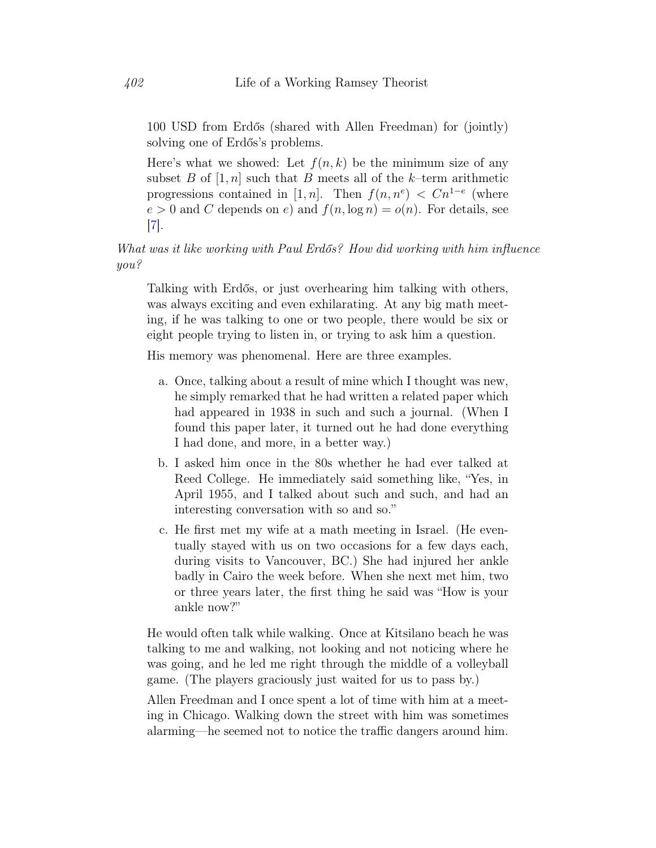100 USD from Erdős (shared with Allen Freedman) for (jointly) solving one of Erdős's problems.

Here's what we showed: Let  $f(n, k)$  be the minimum size of any subset B of  $[1, n]$  such that B meets all of the k–term arithmetic progressions contained in [1, n]. Then  $f(n, n^e) < Cn^{1-e}$  (where  $e > 0$  and C depends on e) and  $f(n, \log n) = o(n)$ . For details, see [\[7\]](#page-9-2).

What was it like working with Paul Erdős? How did working with him influence you?

Talking with Erdős, or just overhearing him talking with others, was always exciting and even exhilarating. At any big math meeting, if he was talking to one or two people, there would be six or eight people trying to listen in, or trying to ask him a question.

His memory was phenomenal. Here are three examples.

- a. Once, talking about a result of mine which I thought was new, he simply remarked that he had written a related paper which had appeared in 1938 in such and such a journal. (When I found this paper later, it turned out he had done everything I had done, and more, in a better way.)
- b. I asked him once in the 80s whether he had ever talked at Reed College. He immediately said something like, "Yes, in April 1955, and I talked about such and such, and had an interesting conversation with so and so."
- c. He first met my wife at a math meeting in Israel. (He eventually stayed with us on two occasions for a few days each, during visits to Vancouver, BC.) She had injured her ankle badly in Cairo the week before. When she next met him, two or three years later, the first thing he said was "How is your ankle now?"

He would often talk while walking. Once at Kitsilano beach he was talking to me and walking, not looking and not noticing where he was going, and he led me right through the middle of a volleyball game. (The players graciously just waited for us to pass by.)

Allen Freedman and I once spent a lot of time with him at a meeting in Chicago. Walking down the street with him was sometimes alarming—he seemed not to notice the traffic dangers around him.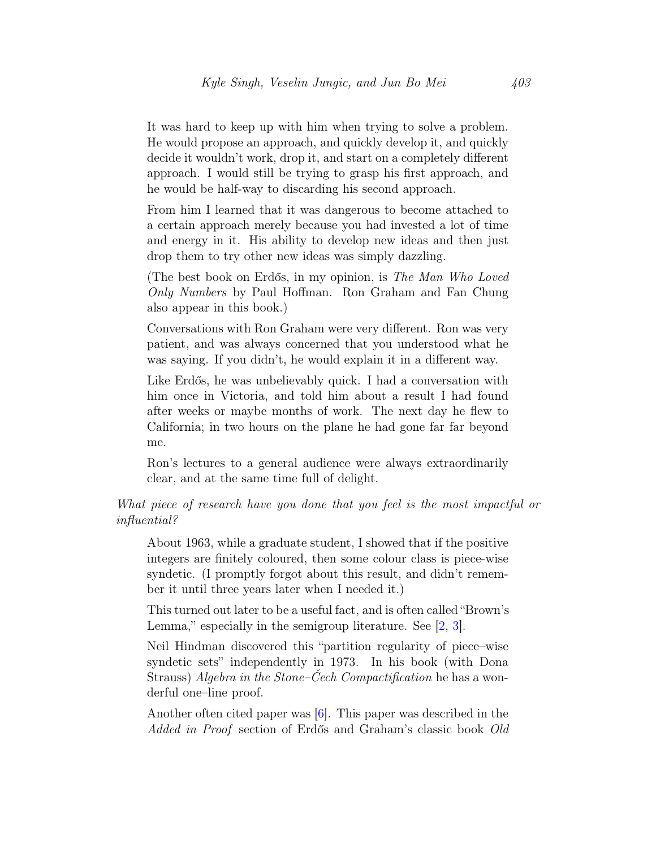It was hard to keep up with him when trying to solve a problem. He would propose an approach, and quickly develop it, and quickly decide it wouldn't work, drop it, and start on a completely different approach. I would still be trying to grasp his first approach, and he would be half-way to discarding his second approach.

From him I learned that it was dangerous to become attached to a certain approach merely because you had invested a lot of time and energy in it. His ability to develop new ideas and then just drop them to try other new ideas was simply dazzling.

(The best book on Erdős, in my opinion, is The Man Who Loved Only Numbers by Paul Hoffman. Ron Graham and Fan Chung also appear in this book.)

Conversations with Ron Graham were very different. Ron was very patient, and was always concerned that you understood what he was saying. If you didn't, he would explain it in a different way.

Like Erdős, he was unbelievably quick. I had a conversation with him once in Victoria, and told him about a result I had found after weeks or maybe months of work. The next day he flew to California; in two hours on the plane he had gone far far beyond me.

Ron's lectures to a general audience were always extraordinarily clear, and at the same time full of delight.

What piece of research have you done that you feel is the most impactful or influential?

About 1963, while a graduate student, I showed that if the positive integers are finitely coloured, then some colour class is piece-wise syndetic. (I promptly forgot about this result, and didn't remember it until three years later when I needed it.)

This turned out later to be a useful fact, and is often called "Brown's Lemma," especially in the semigroup literature. See [\[2,](#page-9-3) [3\]](#page-9-4).

Neil Hindman discovered this "partition regularity of piece–wise syndetic sets" independently in 1973. In his book (with Dona Strauss) Algebra in the Stone–Čech Compactification he has a wonderful one–line proof.

Another often cited paper was [\[6\]](#page-9-5). This paper was described in the Added in Proof section of Erdős and Graham's classic book Old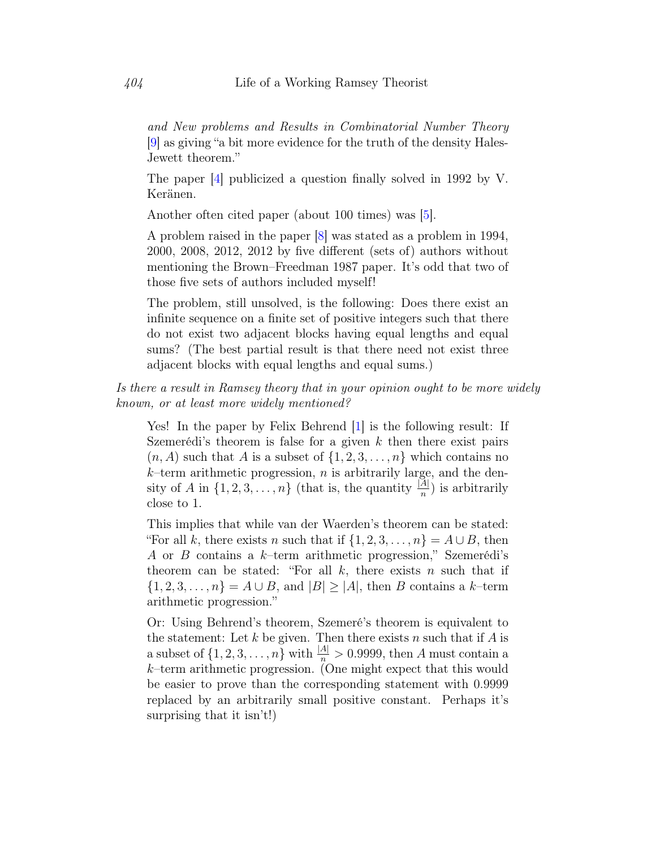and New problems and Results in Combinatorial Number Theory [\[9\]](#page-9-6) as giving "a bit more evidence for the truth of the density Hales-Jewett theorem."

The paper [\[4\]](#page-9-7) publicized a question finally solved in 1992 by V. Keränen.

Another often cited paper (about 100 times) was [\[5\]](#page-9-8).

A problem raised in the paper [\[8\]](#page-9-9) was stated as a problem in 1994, 2000, 2008, 2012, 2012 by five different (sets of) authors without mentioning the Brown–Freedman 1987 paper. It's odd that two of those five sets of authors included myself!

The problem, still unsolved, is the following: Does there exist an infinite sequence on a finite set of positive integers such that there do not exist two adjacent blocks having equal lengths and equal sums? (The best partial result is that there need not exist three adjacent blocks with equal lengths and equal sums.)

Is there a result in Ramsey theory that in your opinion ought to be more widely known, or at least more widely mentioned?

Yes! In the paper by Felix Behrend [\[1\]](#page-9-10) is the following result: If Szemerédi's theorem is false for a given  $k$  then there exist pairs  $(n, A)$  such that A is a subset of  $\{1, 2, 3, \ldots, n\}$  which contains no  $k$ –term arithmetic progression, *n* is arbitrarily large, and the density of A in  $\{1, 2, 3, ..., n\}$  (that is, the quantity  $\frac{|A|}{n}$ ) is arbitrarily close to 1.

This implies that while van der Waerden's theorem can be stated: "For all k, there exists n such that if  $\{1, 2, 3, \ldots, n\} = A \cup B$ , then A or B contains a  $k$ -term arithmetic progression," Szemerédi's theorem can be stated: "For all  $k$ , there exists n such that if  $\{1, 2, 3, \ldots, n\} = A \cup B$ , and  $|B| \ge |A|$ , then B contains a k-term arithmetic progression."

Or: Using Behrend's theorem, Szemeré's theorem is equivalent to the statement: Let  $k$  be given. Then there exists  $n$  such that if  $A$  is a subset of  $\{1, 2, 3, \ldots, n\}$  with  $\frac{|A|}{n} > 0.9999$ , then A must contain a  $k$ –term arithmetic progression. (One might expect that this would be easier to prove than the corresponding statement with 0.9999 replaced by an arbitrarily small positive constant. Perhaps it's surprising that it isn't!)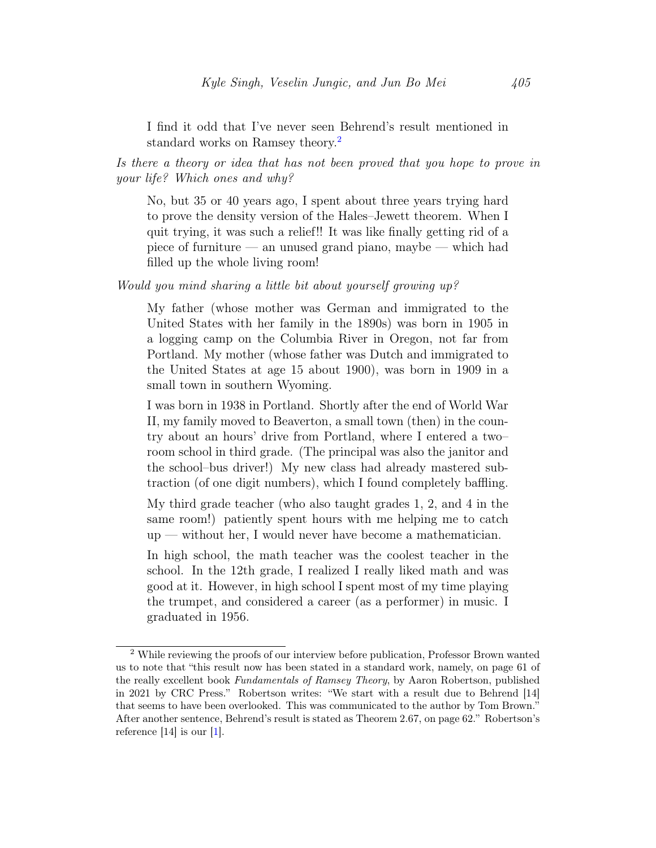I find it odd that I've never seen Behrend's result mentioned in standard works on Ramsey theory.<sup>[2](#page-7-0)</sup>

Is there a theory or idea that has not been proved that you hope to prove in your life? Which ones and why?

No, but 35 or 40 years ago, I spent about three years trying hard to prove the density version of the Hales–Jewett theorem. When I quit trying, it was such a relief!! It was like finally getting rid of a piece of furniture — an unused grand piano, maybe — which had filled up the whole living room!

Would you mind sharing a little bit about yourself growing up?

My father (whose mother was German and immigrated to the United States with her family in the 1890s) was born in 1905 in a logging camp on the Columbia River in Oregon, not far from Portland. My mother (whose father was Dutch and immigrated to the United States at age 15 about 1900), was born in 1909 in a small town in southern Wyoming.

I was born in 1938 in Portland. Shortly after the end of World War II, my family moved to Beaverton, a small town (then) in the country about an hours' drive from Portland, where I entered a two– room school in third grade. (The principal was also the janitor and the school–bus driver!) My new class had already mastered subtraction (of one digit numbers), which I found completely baffling.

My third grade teacher (who also taught grades 1, 2, and 4 in the same room!) patiently spent hours with me helping me to catch up — without her, I would never have become a mathematician.

In high school, the math teacher was the coolest teacher in the school. In the 12th grade, I realized I really liked math and was good at it. However, in high school I spent most of my time playing the trumpet, and considered a career (as a performer) in music. I graduated in 1956.

<span id="page-7-0"></span><sup>2</sup> While reviewing the proofs of our interview before publication, Professor Brown wanted us to note that "this result now has been stated in a standard work, namely, on page 61 of the really excellent book Fundamentals of Ramsey Theory, by Aaron Robertson, published in 2021 by CRC Press." Robertson writes: "We start with a result due to Behrend [14] that seems to have been overlooked. This was communicated to the author by Tom Brown." After another sentence, Behrend's result is stated as Theorem 2.67, on page 62." Robertson's reference [14] is our [\[1\]](#page-9-10).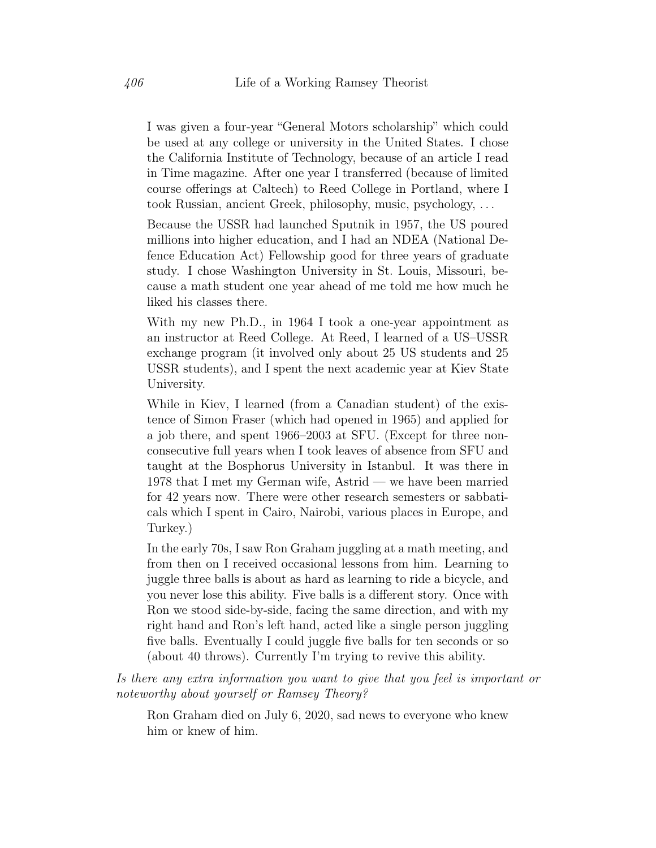I was given a four-year "General Motors scholarship" which could be used at any college or university in the United States. I chose the California Institute of Technology, because of an article I read in Time magazine. After one year I transferred (because of limited course offerings at Caltech) to Reed College in Portland, where I took Russian, ancient Greek, philosophy, music, psychology, . . .

Because the USSR had launched Sputnik in 1957, the US poured millions into higher education, and I had an NDEA (National Defence Education Act) Fellowship good for three years of graduate study. I chose Washington University in St. Louis, Missouri, because a math student one year ahead of me told me how much he liked his classes there.

With my new Ph.D., in 1964 I took a one-year appointment as an instructor at Reed College. At Reed, I learned of a US–USSR exchange program (it involved only about 25 US students and 25 USSR students), and I spent the next academic year at Kiev State University.

While in Kiev, I learned (from a Canadian student) of the existence of Simon Fraser (which had opened in 1965) and applied for a job there, and spent 1966–2003 at SFU. (Except for three nonconsecutive full years when I took leaves of absence from SFU and taught at the Bosphorus University in Istanbul. It was there in 1978 that I met my German wife, Astrid — we have been married for 42 years now. There were other research semesters or sabbaticals which I spent in Cairo, Nairobi, various places in Europe, and Turkey.)

In the early 70s, I saw Ron Graham juggling at a math meeting, and from then on I received occasional lessons from him. Learning to juggle three balls is about as hard as learning to ride a bicycle, and you never lose this ability. Five balls is a different story. Once with Ron we stood side-by-side, facing the same direction, and with my right hand and Ron's left hand, acted like a single person juggling five balls. Eventually I could juggle five balls for ten seconds or so (about 40 throws). Currently I'm trying to revive this ability.

Is there any extra information you want to give that you feel is important or noteworthy about yourself or Ramsey Theory?

Ron Graham died on July 6, 2020, sad news to everyone who knew him or knew of him.